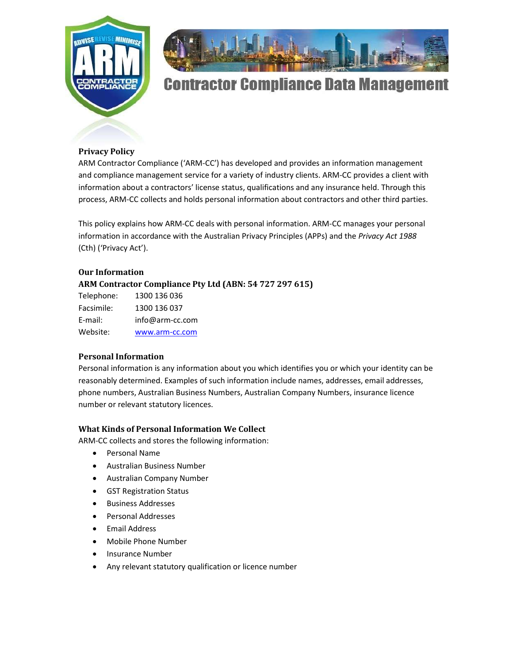



# **Contractor Compliance Data Management**

# Privacy Policy

ARM Contractor Compliance ('ARM-CC') has developed and provides an information management and compliance management service for a variety of industry clients. ARM-CC provides a client with information about a contractors' license status, qualifications and any insurance held. Through this process, ARM-CC collects and holds personal information about contractors and other third parties.

This policy explains how ARM-CC deals with personal information. ARM-CC manages your personal information in accordance with the Australian Privacy Principles (APPs) and the Privacy Act 1988 (Cth) ('Privacy Act').

## Our Information

ARM Contractor Compliance Pty Ltd (ABN: 54 727 297 615)

| Telephone: | 1300 136 036    |
|------------|-----------------|
| Facsimile: | 1300 136 037    |
| E-mail:    | info@arm-cc.com |
| Website:   | www.arm-cc.com  |

# Personal Information

Personal information is any information about you which identifies you or which your identity can be reasonably determined. Examples of such information include names, addresses, email addresses, phone numbers, Australian Business Numbers, Australian Company Numbers, insurance licence number or relevant statutory licences.

## What Kinds of Personal Information We Collect

ARM-CC collects and stores the following information:

- Personal Name
- Australian Business Number
- Australian Company Number
- GST Registration Status
- Business Addresses
- Personal Addresses
- Email Address
- Mobile Phone Number
- Insurance Number
- Any relevant statutory qualification or licence number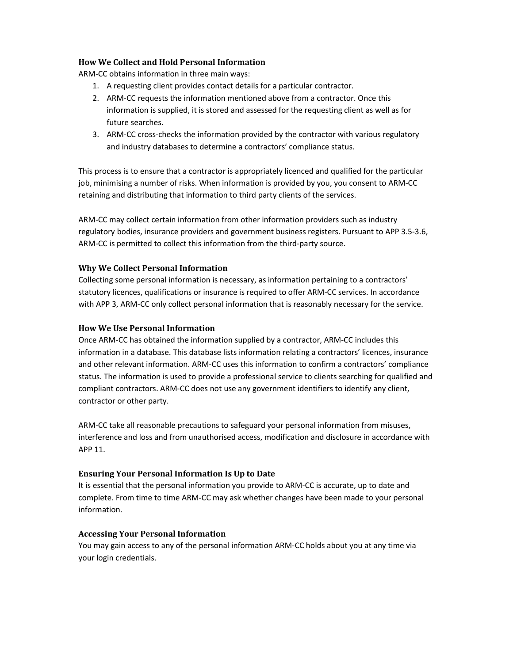## How We Collect and Hold Personal Information

ARM-CC obtains information in three main ways:

- 1. A requesting client provides contact details for a particular contractor.
- 2. ARM-CC requests the information mentioned above from a contractor. Once this information is supplied, it is stored and assessed for the requesting client as well as for future searches.
- 3. ARM-CC cross-checks the information provided by the contractor with various regulatory and industry databases to determine a contractors' compliance status.

This process is to ensure that a contractor is appropriately licenced and qualified for the particular job, minimising a number of risks. When information is provided by you, you consent to ARM-CC retaining and distributing that information to third party clients of the services.

ARM-CC may collect certain information from other information providers such as industry regulatory bodies, insurance providers and government business registers. Pursuant to APP 3.5-3.6, ARM-CC is permitted to collect this information from the third-party source.

## Why We Collect Personal Information

Collecting some personal information is necessary, as information pertaining to a contractors' statutory licences, qualifications or insurance is required to offer ARM-CC services. In accordance with APP 3, ARM-CC only collect personal information that is reasonably necessary for the service.

## How We Use Personal Information

Once ARM-CC has obtained the information supplied by a contractor, ARM-CC includes this information in a database. This database lists information relating a contractors' licences, insurance and other relevant information. ARM-CC uses this information to confirm a contractors' compliance status. The information is used to provide a professional service to clients searching for qualified and compliant contractors. ARM-CC does not use any government identifiers to identify any client, contractor or other party.

ARM-CC take all reasonable precautions to safeguard your personal information from misuses, interference and loss and from unauthorised access, modification and disclosure in accordance with APP 11.

## Ensuring Your Personal Information Is Up to Date

It is essential that the personal information you provide to ARM-CC is accurate, up to date and complete. From time to time ARM-CC may ask whether changes have been made to your personal information.

## Accessing Your Personal Information

You may gain access to any of the personal information ARM-CC holds about you at any time via your login credentials.